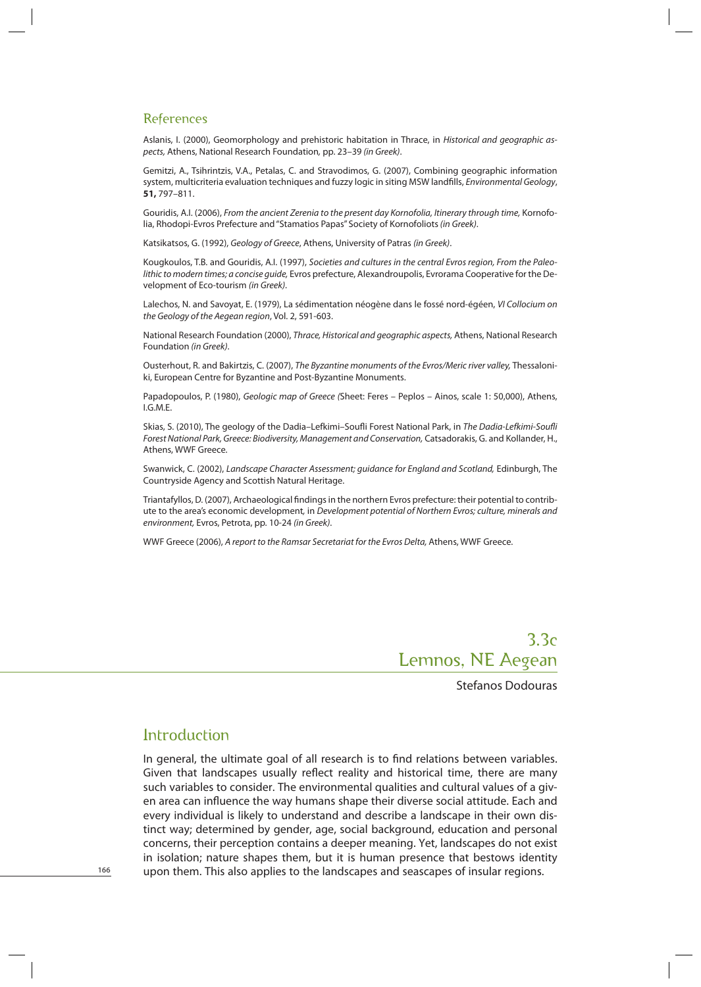# 3.3c Lemnos, NE Aegean

Stefanos Dodouras

# Introduction

In general, the ultimate goal of all research is to find relations between variables. Given that landscapes usually reflect reality and historical time, there are many such variables to consider. The environmental qualities and cultural values of a given area can influence the way humans shape their diverse social attitude. Each and every individual is likely to understand and describe a landscape in their own distinct way; determined by gender, age, social background, education and personal concerns, their perception contains a deeper meaning. Yet, landscapes do not exist in isolation; nature shapes them, but it is human presence that bestows identity upon them. This also applies to the landscapes and seascapes of insular regions.

**166**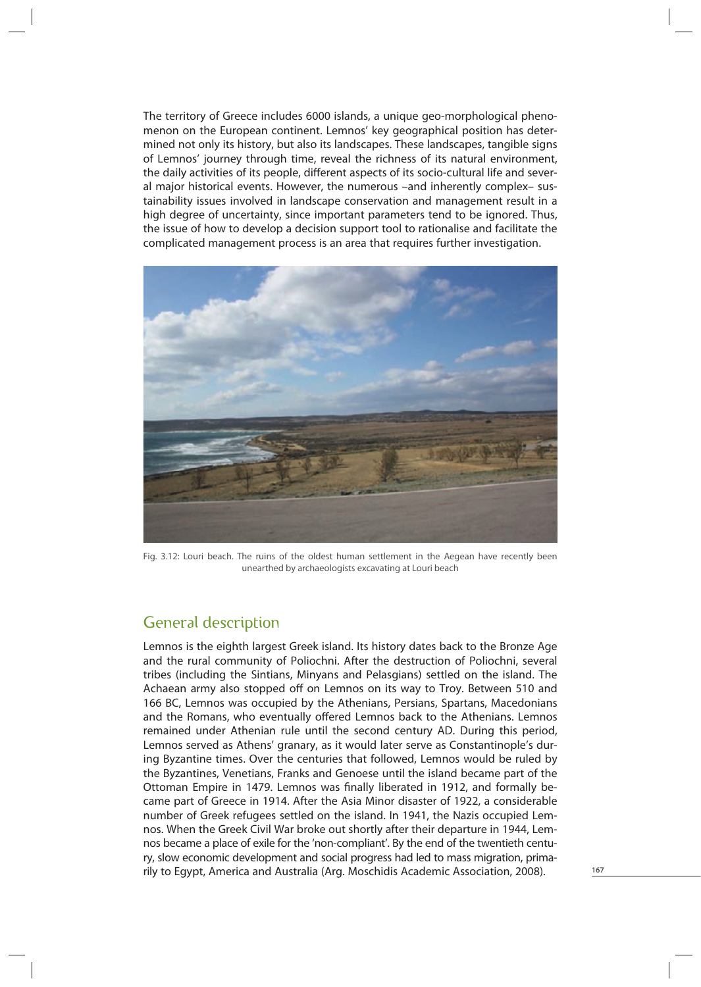The territory of Greece includes 6000 islands, a unique geo-morphological phenomenon on the European continent. Lemnos' key geographical position has determined not only its history, but also its landscapes. These landscapes, tangible signs of Lemnos' journey through time, reveal the richness of its natural environment, the daily activities of its people, different aspects of its socio-cultural life and several major historical events. However, the numerous –and inherently complex– sustainability issues involved in landscape conservation and management result in a high degree of uncertainty, since important parameters tend to be ignored. Thus, the issue of how to develop a decision support tool to rationalise and facilitate the complicated management process is an area that requires further investigation.



Fig. 3.12: Louri beach. The ruins of the oldest human settlement in the Aegean have recently been unearthed by archaeologists excavating at Louri beach

# General description

Lemnos is the eighth largest Greek island. Its history dates back to the Bronze Age and the rural community of Poliochni. After the destruction of Poliochni, several tribes (including the Sintians, Minyans and Pelasgians) settled on the island. The Achaean army also stopped off on Lemnos on its way to Troy. Between 510 and 166 BC, Lemnos was occupied by the Athenians, Persians, Spartans, Macedonians and the Romans, who eventually offered Lemnos back to the Athenians. Lemnos remained under Athenian rule until the second century AD. During this period, Lemnos served as Athens' granary, as it would later serve as Constantinople's during Byzantine times. Over the centuries that followed, Lemnos would be ruled by the Byzantines, Venetians, Franks and Genoese until the island became part of the Ottoman Empire in 1479. Lemnos was finally liberated in 1912, and formally became part of Greece in 1914. After the Asia Minor disaster of 1922, a considerable number of Greek refugees settled on the island. In 1941, the Nazis occupied Lemnos. When the Greek Civil War broke out shortly after their departure in 1944, Lemnos became a place of exile for the 'non-compliant'. By the end of the twentieth century, slow economic development and social progress had led to mass migration, primarily to Egypt, America and Australia (Arg. Moschidis Academic Association, 2008).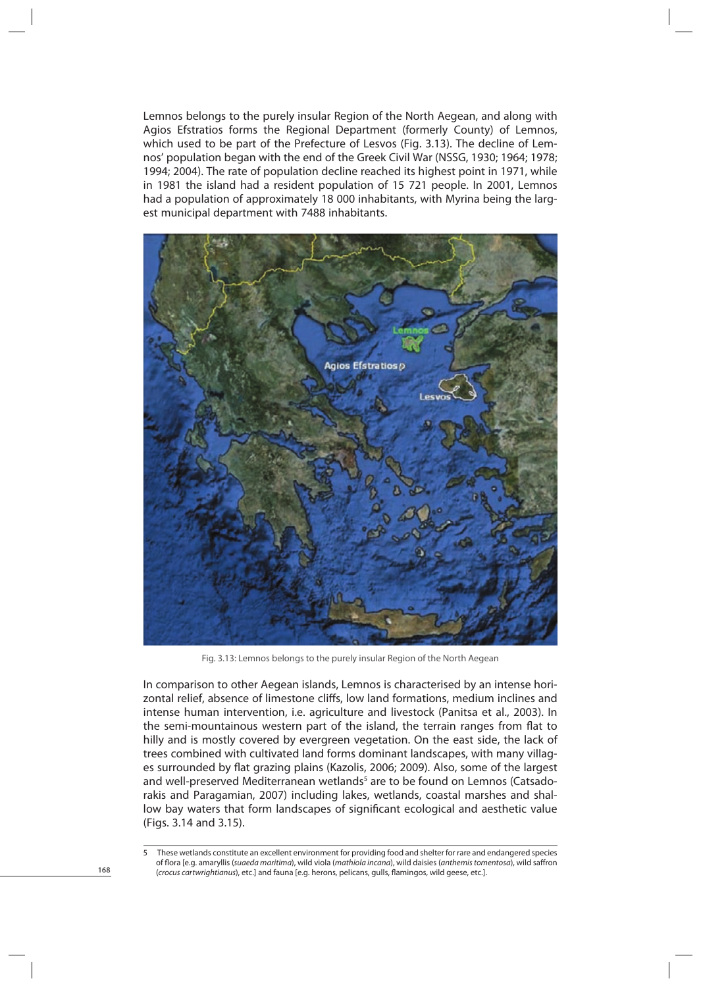Lemnos belongs to the purely insular Region of the North Aegean, and along with Agios Efstratios forms the Regional Department (formerly County) of Lemnos, which used to be part of the Prefecture of Lesvos (Fig. 3.13). The decline of Lemnos' population began with the end of the Greek Civil War (NSSG, 1930; 1964; 1978; 1994; 2004). The rate of population decline reached its highest point in 1971, while in 1981 the island had a resident population of 15 721 people. In 2001, Lemnos had a population of approximately 18 000 inhabitants, with Myrina being the largest municipal department with 7488 inhabitants.



Fig. 3.13: Lemnos belongs to the purely insular Region of the North Aegean

In comparison to other Aegean islands, Lemnos is characterised by an intense horizontal relief, absence of limestone cliffs, low land formations, medium inclines and intense human intervention, i.e. agriculture and livestock (Panitsa et al., 2003). In the semi-mountainous western part of the island, the terrain ranges from flat to hilly and is mostly covered by evergreen vegetation. On the east side, the lack of trees combined with cultivated land forms dominant landscapes, with many villages surrounded by flat grazing plains (Kazolis, 2006; 2009). Also, some of the largest and well-preserved Mediterranean wetlands<sup>5</sup> are to be found on Lemnos (Catsadorakis and Paragamian, 2007) including lakes, wetlands, coastal marshes and shallow bay waters that form landscapes of significant ecological and aesthetic value (Figs. 3.14 and 3.15).

<sup>5</sup> These wetlands constitute an excellent environment for providing food and shelter for rare and endangered species of flora [e.g. amaryllis (suaeda maritima), wild viola (mathiola incana), wild daisies (anthemis tomentosa), wild saffron (crocus cartwrightianus), etc.] and fauna [e.g. herons, pelicans, gulls, flamingos, wild geese, etc.].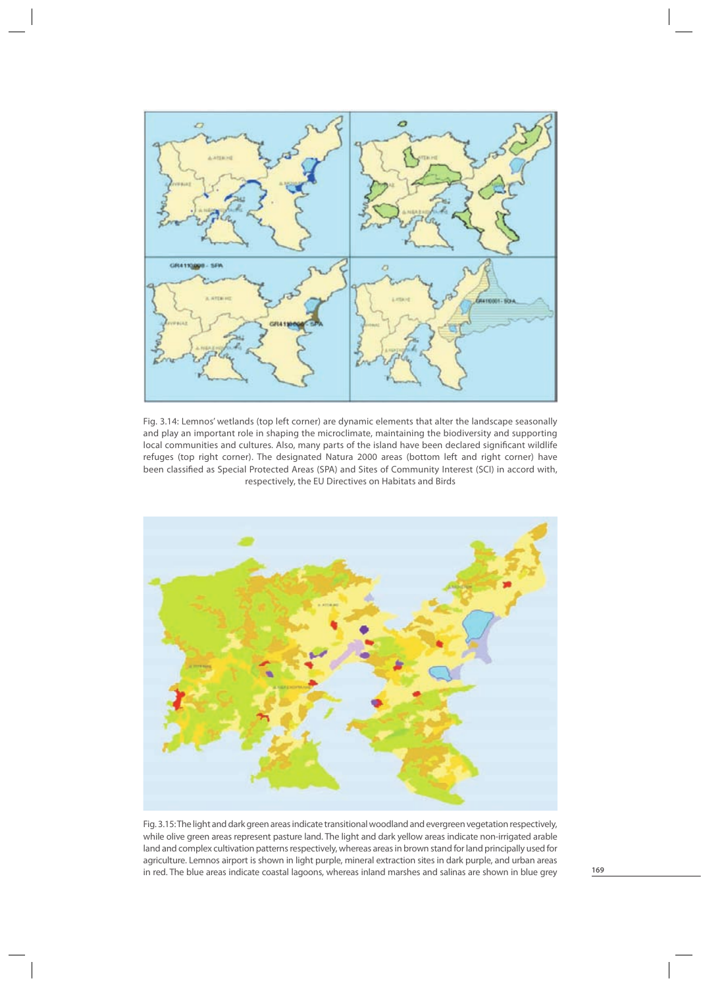

Fig. 3.14: Lemnos' wetlands (top left corner) are dynamic elements that alter the landscape seasonally and play an important role in shaping the microclimate, maintaining the biodiversity and supporting local communities and cultures. Also, many parts of the island have been declared significant wildlife refuges (top right corner). The designated Natura 2000 areas (bottom left and right corner) have been classified as Special Protected Areas (SPA) and Sites of Community Interest (SCI) in accord with, respectively, the EU Directives on Habitats and Birds



Fig. 3.15: The light and dark green areas indicate transitional woodland and evergreen vegetation respectively, while olive green areas represent pasture land. The light and dark yellow areas indicate non-irrigated arable land and complex cultivation patterns respectively, whereas areas in brown stand for land principally used for agriculture. Lemnos airport is shown in light purple, mineral extraction sites in dark purple, and urban areas in red. The blue areas indicate coastal lagoons, whereas inland marshes and salinas are shown in blue grey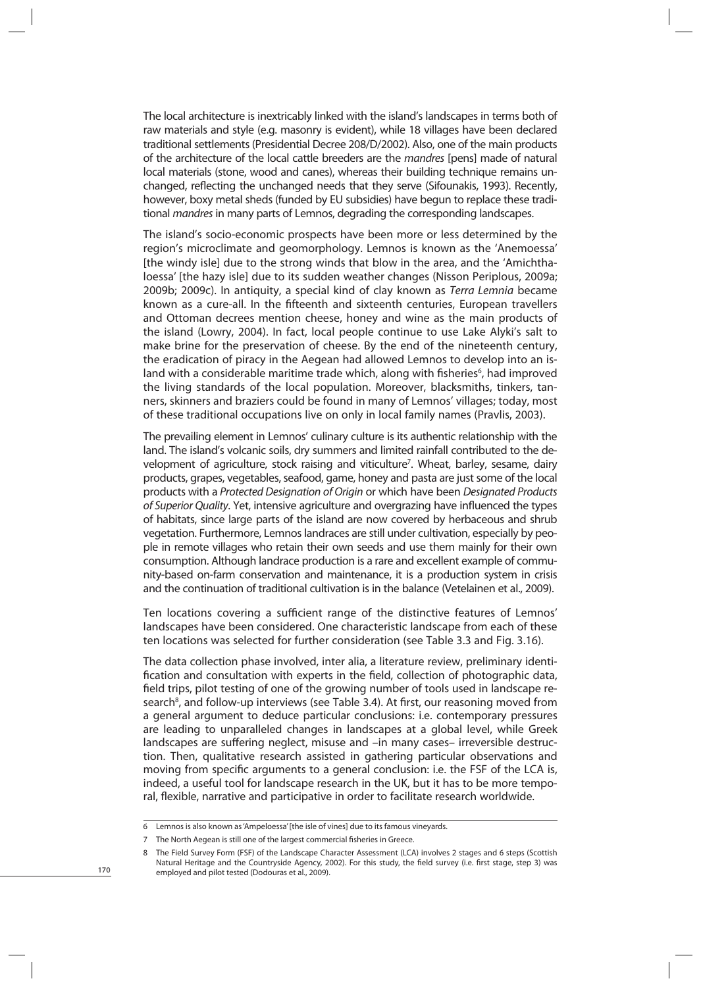The local architecture is inextricably linked with the island's landscapes in terms both of raw materials and style (e.g. masonry is evident), while 18 villages have been declared traditional settlements (Presidential Decree 208/D/2002). Also, one of the main products of the architecture of the local cattle breeders are the mandres [pens] made of natural local materials (stone, wood and canes), whereas their building technique remains unchanged, reflecting the unchanged needs that they serve (Sifounakis, 1993). Recently, however, boxy metal sheds (funded by EU subsidies) have begun to replace these traditional *mandres* in many parts of Lemnos, degrading the corresponding landscapes.

The island's socio-economic prospects have been more or less determined by the region's microclimate and geomorphology. Lemnos is known as the 'Anemoessa' [the windy isle] due to the strong winds that blow in the area, and the 'Amichthaloessa' [the hazy isle] due to its sudden weather changes (Nisson Periplous, 2009a; 2009b; 2009c). In antiquity, a special kind of clay known as Terra Lemnia became known as a cure-all. In the fifteenth and sixteenth centuries, European travellers and Ottoman decrees mention cheese, honey and wine as the main products of the island (Lowry, 2004). In fact, local people continue to use Lake Alyki's salt to make brine for the preservation of cheese. By the end of the nineteenth century, the eradication of piracy in the Aegean had allowed Lemnos to develop into an island with a considerable maritime trade which, along with fisheries<sup>6</sup>, had improved the living standards of the local population. Moreover, blacksmiths, tinkers, tanners, skinners and braziers could be found in many of Lemnos' villages; today, most of these traditional occupations live on only in local family names (Pravlis, 2003).

The prevailing element in Lemnos' culinary culture is its authentic relationship with the land. The island's volcanic soils, dry summers and limited rainfall contributed to the development of agriculture, stock raising and viticulture7 . Wheat, barley, sesame, dairy products, grapes, vegetables, seafood, game, honey and pasta are just some of the local products with a Protected Designation of Origin or which have been Designated Products of Superior Quality. Yet, intensive agriculture and overgrazing have influenced the types of habitats, since large parts of the island are now covered by herbaceous and shrub vegetation. Furthermore, Lemnos landraces are still under cultivation, especially by people in remote villages who retain their own seeds and use them mainly for their own consumption. Although landrace production is a rare and excellent example of community-based on-farm conservation and maintenance, it is a production system in crisis and the continuation of traditional cultivation is in the balance (Vetelainen et al., 2009).

Ten locations covering a sufficient range of the distinctive features of Lemnos' landscapes have been considered. One characteristic landscape from each of these ten locations was selected for further consideration (see Table 3.3 and Fig. 3.16).

The data collection phase involved, inter alia, a literature review, preliminary identification and consultation with experts in the field, collection of photographic data, field trips, pilot testing of one of the growing number of tools used in landscape research<sup>8</sup>, and follow-up interviews (see Table 3.4). At first, our reasoning moved from a general argument to deduce particular conclusions: i.e. contemporary pressures are leading to unparalleled changes in landscapes at a global level, while Greek landscapes are suffering neglect, misuse and –in many cases– irreversible destruction. Then, qualitative research assisted in gathering particular observations and moving from specific arguments to a general conclusion: i.e. the FSF of the LCA is, indeed, a useful tool for landscape research in the UK, but it has to be more temporal, flexible, narrative and participative in order to facilitate research worldwide.

<sup>6</sup> Lemnos is also known as 'Ampeloessa' [the isle of vines] due to its famous vineyards.

<sup>7</sup> The North Aegean is still one of the largest commercial fisheries in Greece.

<sup>8</sup> The Field Survey Form (FSF) of the Landscape Character Assessment (LCA) involves 2 stages and 6 steps (Scottish Natural Heritage and the Countryside Agency, 2002). For this study, the field survey (i.e. first stage, step 3) was employed and pilot tested (Dodouras et al., 2009).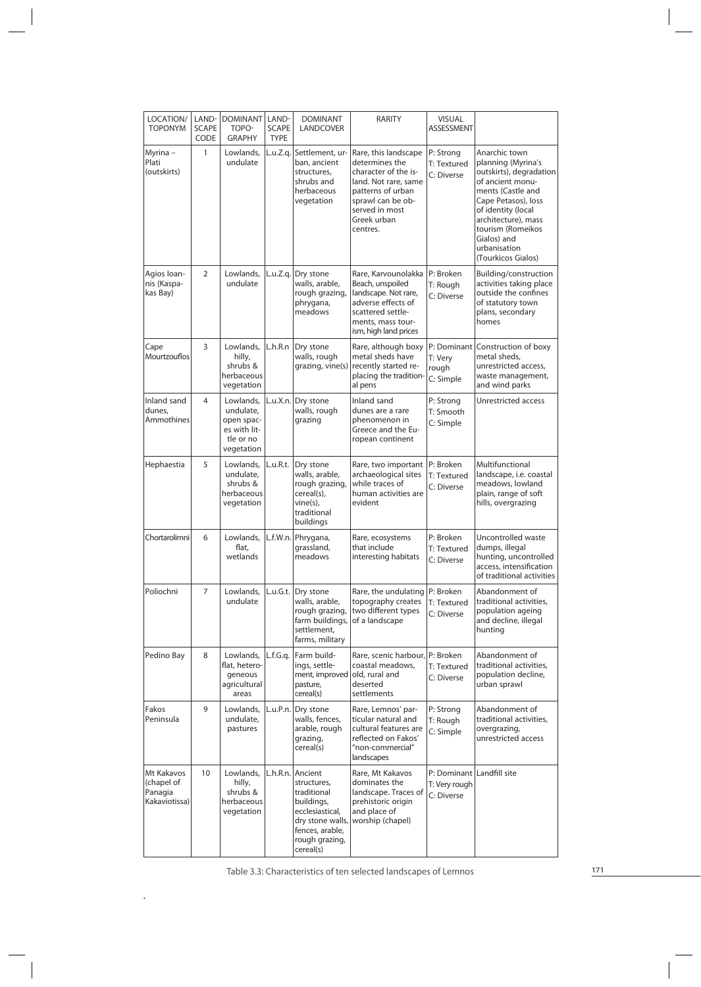| LOCATION/<br><b>TOPONYM</b>                          | LAND-<br><b>SCAPE</b><br>CODE | <b>DOMINANT</b><br>TOPO-<br><b>GRAPHY</b>                                       | LAND-<br><b>SCAPE</b><br><b>TYPE</b> | <b>DOMINANT</b><br>LANDCOVER                                                                                                                          | RARITY                                                                                                                                                                        | <b>VISUAL</b><br><b>ASSESSMENT</b>                       |                                                                                                                                                                                                                                                       |
|------------------------------------------------------|-------------------------------|---------------------------------------------------------------------------------|--------------------------------------|-------------------------------------------------------------------------------------------------------------------------------------------------------|-------------------------------------------------------------------------------------------------------------------------------------------------------------------------------|----------------------------------------------------------|-------------------------------------------------------------------------------------------------------------------------------------------------------------------------------------------------------------------------------------------------------|
| Myrina –<br>Plati<br>(outskirts)                     | 1                             | Lowlands,<br>undulate                                                           | L.u.Z.g.                             | Settlement, ur-<br>ban, ancient<br>structures,<br>shrubs and<br>herbaceous<br>vegetation                                                              | Rare, this landscape<br>determines the<br>character of the is-<br>land. Not rare, same<br>patterns of urban<br>sprawl can be ob-<br>served in most<br>Greek urban<br>centres. | P: Strong<br>T: Textured<br>C: Diverse                   | Anarchic town<br>planning (Myrina's<br>outskirts), degradation<br>of ancient monu-<br>ments (Castle and<br>Cape Petasos), loss<br>of identity (local<br>architecture), mass<br>tourism (Romeikos<br>Gialos) and<br>urbanisation<br>(Tourkicos Gialos) |
| Agios Ioan-<br>nis (Kaspa-<br>kas Bay)               | $\overline{2}$                | Lowlands,<br>undulate                                                           | L.u.Z.q.                             | Dry stone<br>walls, arable,<br>rough grazing,<br>phrygana,<br>meadows                                                                                 | Rare, Karvounolakka<br>Beach, unspoiled<br>landscape. Not rare,<br>adverse effects of<br>scattered settle-<br>ments, mass tour-<br>ism, high land prices                      | P: Broken<br>T: Rough<br>C: Diverse                      | Building/construction<br>activities taking place<br>outside the confines<br>of statutory town<br>plans, secondary<br>homes                                                                                                                            |
| Cape<br><b>Mourtzouflos</b>                          | 3                             | Lowlands,<br>hilly,<br>shrubs &<br>herbaceous<br>vegetation                     | L.h.R.n                              | Dry stone<br>walls, rough<br>grazing, vine(s)                                                                                                         | Rare, although boxy<br>metal sheds have<br>recently started re-<br>placing the tradition-<br>al pens                                                                          | T: Very<br>rough<br>C: Simple                            | P: Dominant Construction of boxy<br>metal sheds,<br>unrestricted access,<br>waste management,<br>and wind parks                                                                                                                                       |
| Inland sand<br>dunes.<br>Ammothines                  | 4                             | Lowlands,<br>undulate,<br>open spac-<br>es with lit-<br>tle or no<br>vegetation | L.u.X.n.                             | Dry stone<br>walls, rough<br>grazing                                                                                                                  | Inland sand<br>dunes are a rare<br>phenomenon in<br>Greece and the Eu-<br>ropean continent                                                                                    | P: Strong<br>T: Smooth<br>C: Simple                      | Unrestricted access                                                                                                                                                                                                                                   |
| Hephaestia                                           | 5                             | Lowlands,<br>undulate,<br>shrubs &<br>herbaceous<br>vegetation                  | L.u.R.t.                             | Dry stone<br>walls, arable,<br>rough grazing,<br>cereal(s),<br>vine(s),<br>traditional<br>buildings                                                   | Rare, two important<br>archaeological sites<br>while traces of<br>human activities are<br>evident                                                                             | P: Broken<br>T: Textured<br>C: Diverse                   | Multifunctional<br>landscape, i.e. coastal<br>meadows, lowland<br>plain, range of soft<br>hills, overgrazing                                                                                                                                          |
| Chortarolimni                                        | 6                             | Lowlands,<br>flat,<br>wetlands                                                  | L.f.W.n.                             | Phrygana,<br>grassland,<br>meadows                                                                                                                    | Rare, ecosystems<br>that include<br>interesting habitats                                                                                                                      | P: Broken<br>T: Textured<br>C: Diverse                   | Uncontrolled waste<br>dumps, illegal<br>hunting, uncontrolled<br>access, intensification<br>of traditional activities                                                                                                                                 |
| Poliochni                                            | $\overline{7}$                | Lowlands,<br>undulate                                                           | L.u.G.t.                             | Dry stone<br>walls, arable,<br>rough grazing,<br>farm buildings, of a landscape<br>settlement,<br>farms, military                                     | Rare, the undulating<br>topography creates<br>two different types                                                                                                             | P: Broken<br>T: Textured<br>C: Diverse                   | Abandonment of<br>traditional activities,<br>population ageing<br>and decline, illegal<br>hunting                                                                                                                                                     |
| Pedino Bay                                           | 8                             | Lowlands,<br>flat, hetero-<br>geneous<br>agricultural<br>areas                  | L.f.G.q.                             | Farm build-<br>ings, settle-<br>ment, improved<br>pasture,<br>cereal(s)                                                                               | Rare, scenic harbour,<br>coastal meadows,<br>old, rural and<br>deserted<br>settlements                                                                                        | P: Broken<br>T: Textured<br>C: Diverse                   | Abandonment of<br>traditional activities,<br>population decline,<br>urban sprawl                                                                                                                                                                      |
| Fakos<br>Peninsula                                   | 9                             | Lowlands,<br>undulate,<br>pastures                                              | L.u.P.n.                             | Dry stone<br>walls, fences,<br>arable, rough<br>grazing,<br>cereal(s)                                                                                 | Rare, Lemnos' par-<br>ticular natural and<br>cultural features are<br>reflected on Fakos'<br>"non-commercial"<br>landscapes                                                   | P: Strong<br>T: Rough<br>C: Simple                       | Abandonment of<br>traditional activities,<br>overgrazing,<br>unrestricted access                                                                                                                                                                      |
| Mt Kakavos<br>(chapel of<br>Panagia<br>Kakaviotissa) | 10                            | Lowlands,<br>hilly,<br>shrubs &<br>herbaceous<br>vegetation                     |                                      | L.h.R.n. Ancient<br>structures,<br>traditional<br>buildings,<br>ecclesiastical,<br>dry stone walls,<br>fences, arable,<br>rough grazing,<br>cereal(s) | Rare, Mt Kakavos<br>dominates the<br>landscape. Traces of<br>prehistoric origin<br>and place of<br>worship (chapel)                                                           | P: Dominant Landfill site<br>T: Very rough<br>C: Diverse |                                                                                                                                                                                                                                                       |

Table 3.3: Characteristics of ten selected landscapes of Lemnos

.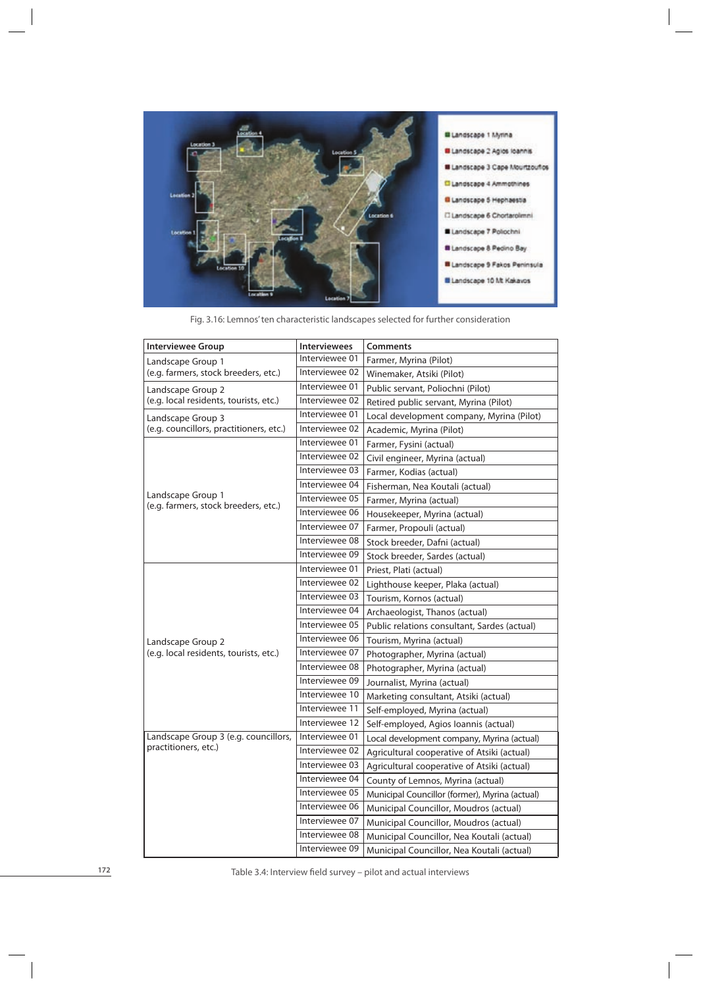

Fig. 3.16: Lemnos' ten characteristic landscapes selected for further consideration

| <b>Interviewee Group</b>                                  | <b>Interviewees</b> | <b>Comments</b>                                |  |
|-----------------------------------------------------------|---------------------|------------------------------------------------|--|
| Landscape Group 1                                         | Interviewee 01      | Farmer, Myrina (Pilot)                         |  |
| (e.g. farmers, stock breeders, etc.)                      | Interviewee 02      | Winemaker, Atsiki (Pilot)                      |  |
| Landscape Group 2                                         | Interviewee 01      | Public servant, Poliochni (Pilot)              |  |
| (e.g. local residents, tourists, etc.)                    | Interviewee 02      | Retired public servant, Myrina (Pilot)         |  |
| Landscape Group 3                                         | Interviewee 01      | Local development company, Myrina (Pilot)      |  |
| (e.g. councillors, practitioners, etc.)                   | Interviewee 02      | Academic, Myrina (Pilot)                       |  |
|                                                           | Interviewee 01      | Farmer, Fysini (actual)                        |  |
|                                                           | Interviewee 02      | Civil engineer, Myrina (actual)                |  |
|                                                           | Interviewee 03      | Farmer, Kodias (actual)                        |  |
|                                                           | Interviewee 04      | Fisherman, Nea Koutali (actual)                |  |
| Landscape Group 1<br>(e.g. farmers, stock breeders, etc.) | Interviewee 05      | Farmer, Myrina (actual)                        |  |
|                                                           | Interviewee 06      | Housekeeper, Myrina (actual)                   |  |
|                                                           | Interviewee 07      | Farmer, Propouli (actual)                      |  |
|                                                           | Interviewee 08      | Stock breeder, Dafni (actual)                  |  |
|                                                           | Interviewee 09      | Stock breeder, Sardes (actual)                 |  |
|                                                           | Interviewee 01      | Priest, Plati (actual)                         |  |
|                                                           | Interviewee 02      | Lighthouse keeper, Plaka (actual)              |  |
|                                                           | Interviewee 03      | Tourism, Kornos (actual)                       |  |
|                                                           | Interviewee 04      | Archaeologist, Thanos (actual)                 |  |
|                                                           | Interviewee 05      | Public relations consultant, Sardes (actual)   |  |
| Landscape Group 2                                         | Interviewee 06      | Tourism, Myrina (actual)                       |  |
| (e.g. local residents, tourists, etc.)                    | Interviewee 07      | Photographer, Myrina (actual)                  |  |
|                                                           | Interviewee 08      | Photographer, Myrina (actual)                  |  |
|                                                           | Interviewee 09      | Journalist, Myrina (actual)                    |  |
|                                                           | Interviewee 10      | Marketing consultant, Atsiki (actual)          |  |
|                                                           | Interviewee 11      | Self-employed, Myrina (actual)                 |  |
|                                                           | Interviewee 12      | Self-employed, Agios Ioannis (actual)          |  |
| Landscape Group 3 (e.g. councillors,                      | Interviewee 01      | Local development company, Myrina (actual)     |  |
| practitioners, etc.)                                      | Interviewee 02      | Agricultural cooperative of Atsiki (actual)    |  |
|                                                           | Interviewee 03      | Agricultural cooperative of Atsiki (actual)    |  |
|                                                           | Interviewee 04      | County of Lemnos, Myrina (actual)              |  |
|                                                           | Interviewee 05      | Municipal Councillor (former), Myrina (actual) |  |
|                                                           | Interviewee 06      | Municipal Councillor, Moudros (actual)         |  |
|                                                           | Interviewee 07      | Municipal Councillor, Moudros (actual)         |  |
|                                                           | Interviewee 08      | Municipal Councillor, Nea Koutali (actual)     |  |
|                                                           | Interviewee 09      | Municipal Councillor, Nea Koutali (actual)     |  |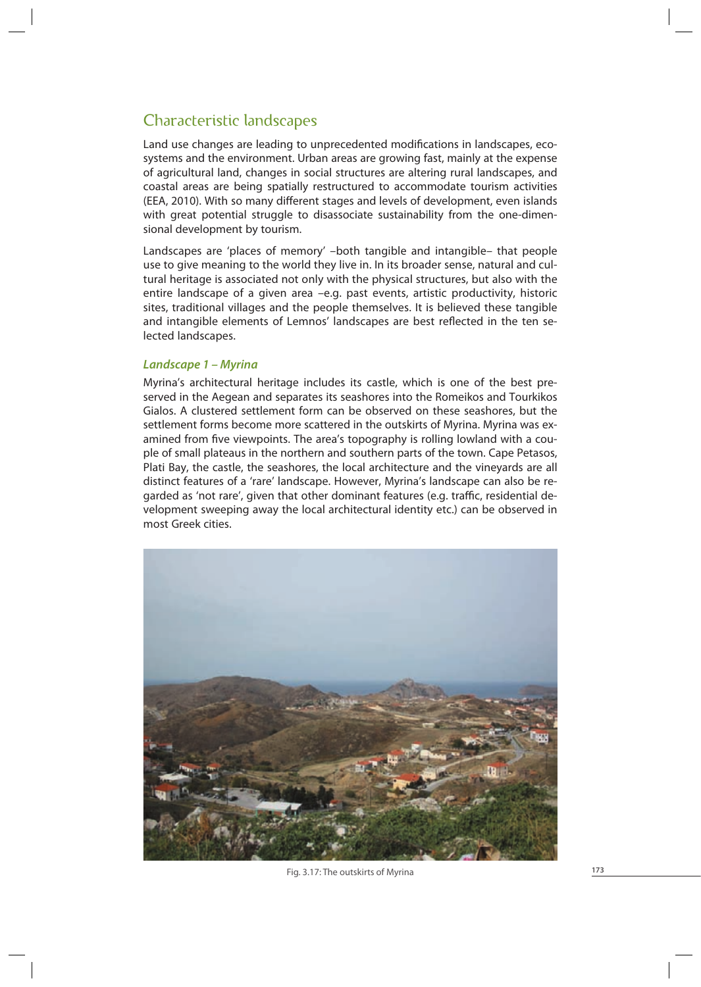# Characteristic landscapes

Land use changes are leading to unprecedented modifications in landscapes, ecosystems and the environment. Urban areas are growing fast, mainly at the expense of agricultural land, changes in social structures are altering rural landscapes, and coastal areas are being spatially restructured to accommodate tourism activities (EEA, 2010). With so many different stages and levels of development, even islands with great potential struggle to disassociate sustainability from the one-dimensional development by tourism.

Landscapes are 'places of memory' –both tangible and intangible– that people use to give meaning to the world they live in. In its broader sense, natural and cultural heritage is associated not only with the physical structures, but also with the entire landscape of a given area –e.g. past events, artistic productivity, historic sites, traditional villages and the people themselves. It is believed these tangible and intangible elements of Lemnos' landscapes are best reflected in the ten selected landscapes.

# *Landscape 1 – Myrina*

Myrina's architectural heritage includes its castle, which is one of the best preserved in the Aegean and separates its seashores into the Romeikos and Tourkikos Gialos. A clustered settlement form can be observed on these seashores, but the settlement forms become more scattered in the outskirts of Myrina. Myrina was examined from five viewpoints. The area's topography is rolling lowland with a couple of small plateaus in the northern and southern parts of the town. Cape Petasos, Plati Bay, the castle, the seashores, the local architecture and the vineyards are all distinct features of a 'rare' landscape. However, Myrina's landscape can also be regarded as 'not rare', given that other dominant features (e.g. traffic, residential development sweeping away the local architectural identity etc.) can be observed in most Greek cities.



Fig. 3.17: The outskirts of Myrina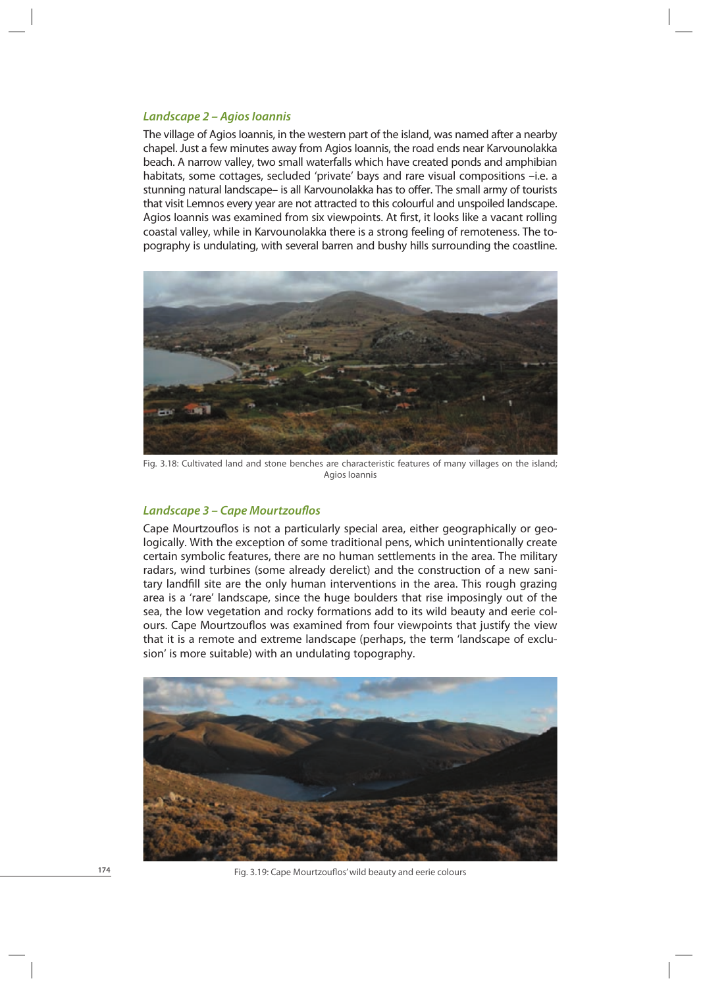#### *Landscape 2 – Agios Ioannis*

The village of Agios Ioannis, in the western part of the island, was named after a nearby chapel. Just a few minutes away from Agios Ioannis, the road ends near Karvounolakka beach. A narrow valley, two small waterfalls which have created ponds and amphibian habitats, some cottages, secluded 'private' bays and rare visual compositions –i.e. a stunning natural landscape– is all Karvounolakka has to offer. The small army of tourists that visit Lemnos every year are not attracted to this colourful and unspoiled landscape. Agios Ioannis was examined from six viewpoints. At first, it looks like a vacant rolling coastal valley, while in Karvounolakka there is a strong feeling of remoteness. The topography is undulating, with several barren and bushy hills surrounding the coastline.



Fig. 3.18: Cultivated land and stone benches are characteristic features of many villages on the island; Agios Ioannis

### *Landscape 3 – Cape Mourtzouflos*

Cape Mourtzouflos is not a particularly special area, either geographically or geologically. With the exception of some traditional pens, which unintentionally create certain symbolic features, there are no human settlements in the area. The military radars, wind turbines (some already derelict) and the construction of a new sanitary landfill site are the only human interventions in the area. This rough grazing area is a 'rare' landscape, since the huge boulders that rise imposingly out of the sea, the low vegetation and rocky formations add to its wild beauty and eerie colours. Cape Mourtzouflos was examined from four viewpoints that justify the view that it is a remote and extreme landscape (perhaps, the term 'landscape of exclusion' is more suitable) with an undulating topography.



Fig. 3.19: Cape Mourtzouflos' wild beauty and eerie colours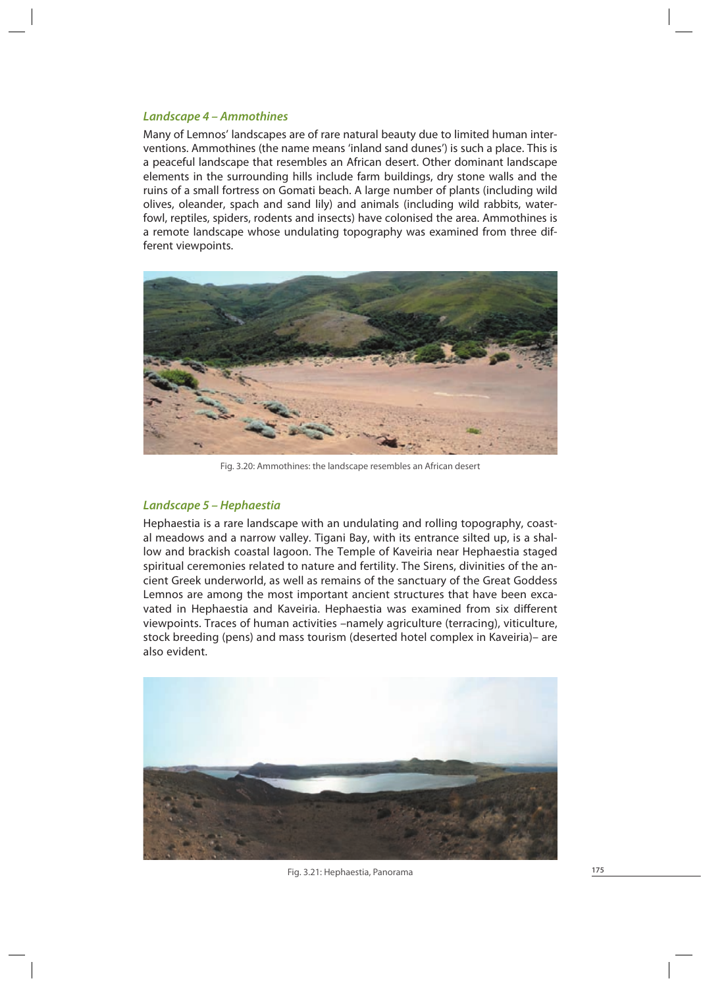## *Landscape 4 – Ammothines*

Many of Lemnos' landscapes are of rare natural beauty due to limited human interventions. Ammothines (the name means 'inland sand dunes') is such a place. This is a peaceful landscape that resembles an African desert. Other dominant landscape elements in the surrounding hills include farm buildings, dry stone walls and the ruins of a small fortress on Gomati beach. A large number of plants (including wild olives, oleander, spach and sand lily) and animals (including wild rabbits, waterfowl, reptiles, spiders, rodents and insects) have colonised the area. Ammothines is a remote landscape whose undulating topography was examined from three different viewpoints.



Fig. 3.20: Ammothines: the landscape resembles an African desert

# *Landscape 5 – Hephaestia*

Hephaestia is a rare landscape with an undulating and rolling topography, coastal meadows and a narrow valley. Tigani Bay, with its entrance silted up, is a shallow and brackish coastal lagoon. The Temple of Kaveiria near Hephaestia staged spiritual ceremonies related to nature and fertility. The Sirens, divinities of the ancient Greek underworld, as well as remains of the sanctuary of the Great Goddess Lemnos are among the most important ancient structures that have been excavated in Hephaestia and Kaveiria. Hephaestia was examined from six different viewpoints. Traces of human activities –namely agriculture (terracing), viticulture, stock breeding (pens) and mass tourism (deserted hotel complex in Kaveiria)– are also evident.



Fig. 3.21: Hephaestia, Panorama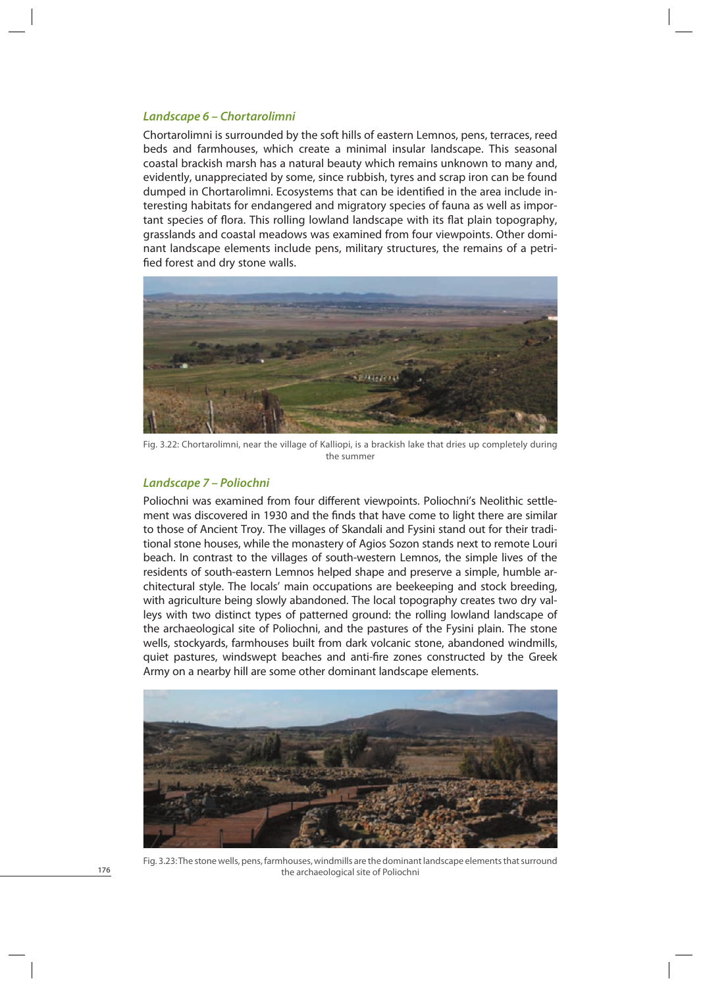#### *Landscape 6 – Chortarolimni*

Chortarolimni is surrounded by the soft hills of eastern Lemnos, pens, terraces, reed beds and farmhouses, which create a minimal insular landscape. This seasonal coastal brackish marsh has a natural beauty which remains unknown to many and, evidently, unappreciated by some, since rubbish, tyres and scrap iron can be found dumped in Chortarolimni. Ecosystems that can be identified in the area include interesting habitats for endangered and migratory species of fauna as well as important species of flora. This rolling lowland landscape with its flat plain topography, grasslands and coastal meadows was examined from four viewpoints. Other dominant landscape elements include pens, military structures, the remains of a petrified forest and dry stone walls.



Fig. 3.22: Chortarolimni, near the village of Κalliopi, is a brackish lake that dries up completely during the summer

#### *Landscape 7 – Poliochni*

Poliochni was examined from four different viewpoints. Poliochni's Neolithic settlement was discovered in 1930 and the finds that have come to light there are similar to those of Ancient Troy. The villages of Skandali and Fysini stand out for their traditional stone houses, while the monastery of Agios Sozon stands next to remote Louri beach. In contrast to the villages of south-western Lemnos, the simple lives of the residents of south-eastern Lemnos helped shape and preserve a simple, humble architectural style. The locals' main occupations are beekeeping and stock breeding, with agriculture being slowly abandoned. The local topography creates two dry valleys with two distinct types of patterned ground: the rolling lowland landscape of the archaeological site of Poliochni, and the pastures of the Fysini plain. The stone wells, stockyards, farmhouses built from dark volcanic stone, abandoned windmills, quiet pastures, windswept beaches and anti-fire zones constructed by the Greek Army on a nearby hill are some other dominant landscape elements.



Fig. 3.23: The stone wells, pens, farmhouses, windmills are the dominant landscape elements that surround the archaeological site of Poliochni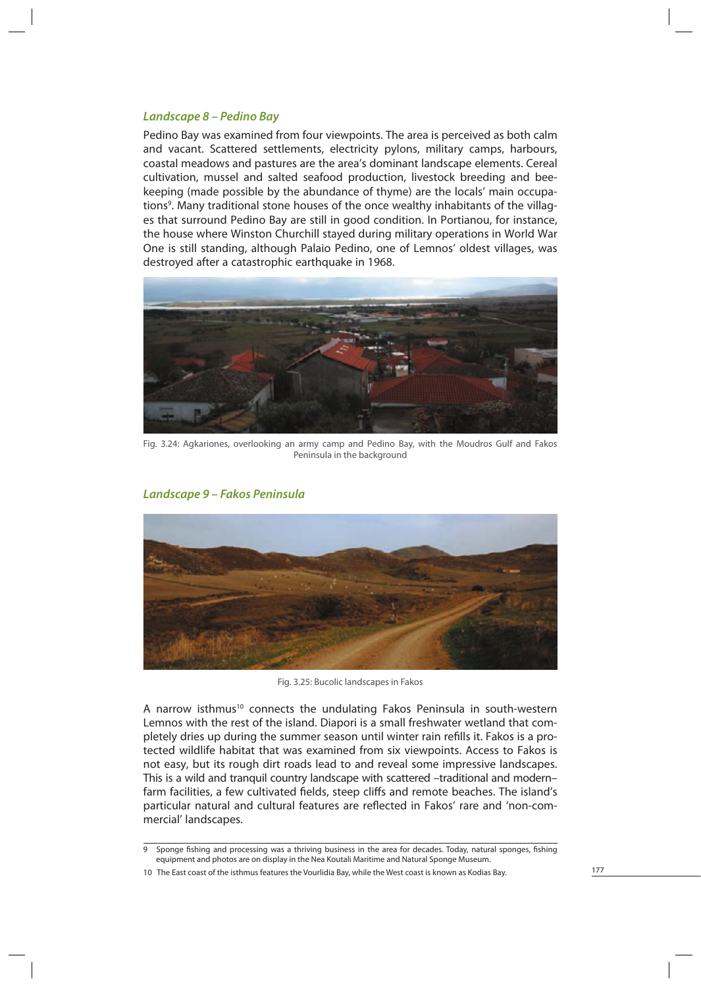# *Landscape 8 – Pedino Bay*

Pedino Bay was examined from four viewpoints. The area is perceived as both calm and vacant. Scattered settlements, electricity pylons, military camps, harbours, coastal meadows and pastures are the area's dominant landscape elements. Cereal cultivation, mussel and salted seafood production, livestock breeding and beekeeping (made possible by the abundance of thyme) are the locals' main occupations<sup>9</sup>. Many traditional stone houses of the once wealthy inhabitants of the villages that surround Pedino Bay are still in good condition. In Portianou, for instance, the house where Winston Churchill stayed during military operations in World War One is still standing, although Palaio Pedino, one of Lemnos' oldest villages, was destroyed after a catastrophic earthquake in 1968.



Fig. 3.24: Agkariones, overlooking an army camp and Pedino Bay, with the Moudros Gulf and Fakos Peninsula in the background



*Landscape 9 – Fakos Peninsula*

Fig. 3.25: Bucolic landscapes in Fakos

A narrow isthmus<sup>10</sup> connects the undulating Fakos Peninsula in south-western Lemnos with the rest of the island. Diapori is a small freshwater wetland that completely dries up during the summer season until winter rain refills it. Fakos is a protected wildlife habitat that was examined from six viewpoints. Access to Fakos is not easy, but its rough dirt roads lead to and reveal some impressive landscapes. This is a wild and tranquil country landscape with scattered –traditional and modern– farm facilities, a few cultivated fields, steep cliffs and remote beaches. The island's particular natural and cultural features are reflected in Fakos' rare and 'non-commercial' landscapes.

<sup>9</sup> Sponge fishing and processing was a thriving business in the area for decades. Today, natural sponges, fishing equipment and photos are on display in the Nea Koutali Maritime and Natural Sponge Museum.

<sup>10</sup> The East coast of the isthmus features the Vourlidia Bay, while the West coast is known as Kodias Bay.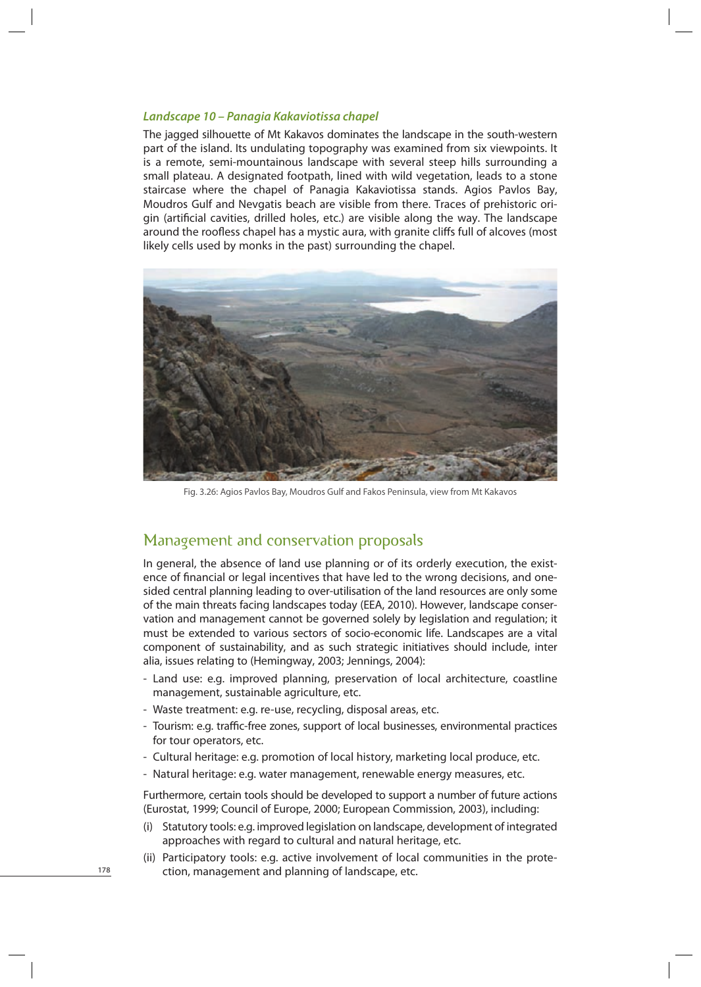#### *Landscape 10 – Panagia Kakaviotissa chapel*

The jagged silhouette of Mt Kakavos dominates the landscape in the south-western part of the island. Its undulating topography was examined from six viewpoints. It is a remote, semi-mountainous landscape with several steep hills surrounding a small plateau. A designated footpath, lined with wild vegetation, leads to a stone staircase where the chapel of Panagia Kakaviotissa stands. Agios Pavlos Bay, Moudros Gulf and Nevgatis beach are visible from there. Traces of prehistoric origin (artificial cavities, drilled holes, etc.) are visible along the way. The landscape around the roofless chapel has a mystic aura, with granite cliffs full of alcoves (most likely cells used by monks in the past) surrounding the chapel.



Fig. 3.26: Agios Pavlos Bay, Moudros Gulf and Fakos Peninsula, view from Mt Kakavos

# Management and conservation proposals

In general, the absence of land use planning or of its orderly execution, the existence of financial or legal incentives that have led to the wrong decisions, and onesided central planning leading to over-utilisation of the land resources are only some of the main threats facing landscapes today (EEA, 2010). However, landscape conservation and management cannot be governed solely by legislation and regulation; it must be extended to various sectors of socio-economic life. Landscapes are a vital component of sustainability, and as such strategic initiatives should include, inter alia, issues relating to (Hemingway, 2003; Jennings, 2004):

- Land use: e.g. improved planning, preservation of local architecture, coastline management, sustainable agriculture, etc.
- Waste treatment: e.g. re-use, recycling, disposal areas, etc.
- Tourism: e.g. traffic-free zones, support of local businesses, environmental practices for tour operators, etc.
- Cultural heritage: e.g. promotion of local history, marketing local produce, etc.
- Natural heritage: e.g. water management, renewable energy measures, etc.

Furthermore, certain tools should be developed to support a number of future actions (Eurostat, 1999; Council of Europe, 2000; European Commission, 2003), including:

- (i) Statutory tools: e.g. improved legislation on landscape, development of integrated approaches with regard to cultural and natural heritage, etc.
- (ii) Participatory tools: e.g. active involvement of local communities in the protection, management and planning of landscape, etc.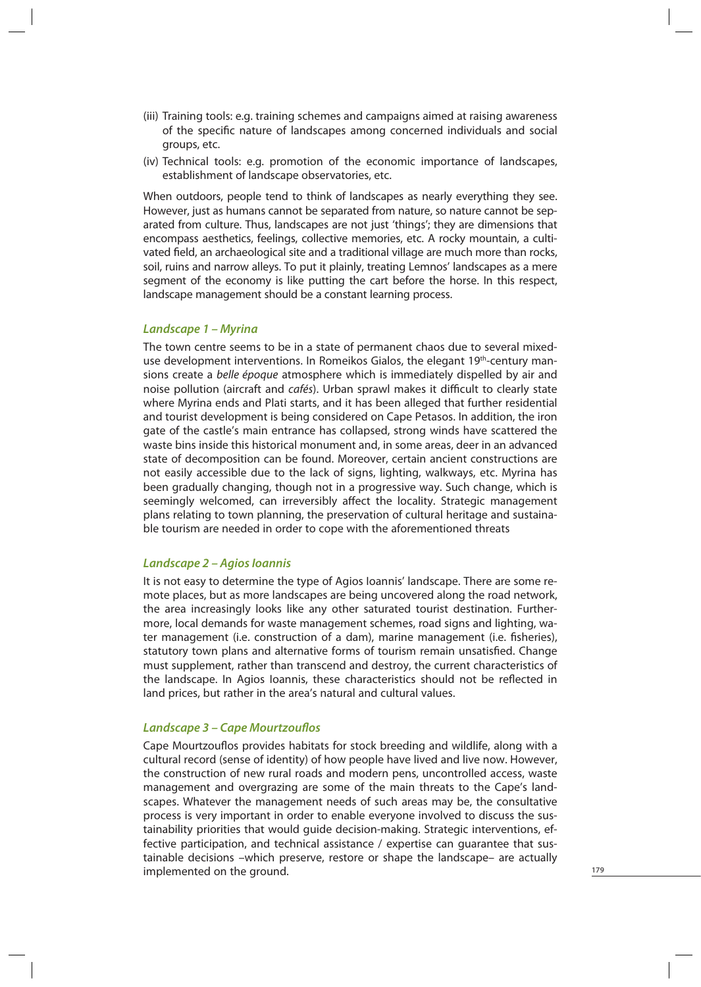- (iii) Training tools: e.g. training schemes and campaigns aimed at raising awareness of the specific nature of landscapes among concerned individuals and social groups, etc.
- (iv) Technical tools: e.g. promotion of the economic importance of landscapes, establishment of landscape observatories, etc.

When outdoors, people tend to think of landscapes as nearly everything they see. However, just as humans cannot be separated from nature, so nature cannot be separated from culture. Thus, landscapes are not just 'things'; they are dimensions that encompass aesthetics, feelings, collective memories, etc. A rocky mountain, a cultivated field, an archaeological site and a traditional village are much more than rocks, soil, ruins and narrow alleys. To put it plainly, treating Lemnos' landscapes as a mere segment of the economy is like putting the cart before the horse. In this respect, landscape management should be a constant learning process.

#### *Landscape 1 – Myrina*

The town centre seems to be in a state of permanent chaos due to several mixeduse development interventions. In Romeikos Gialos, the elegant 19th-century mansions create a belle époque atmosphere which is immediately dispelled by air and noise pollution (aircraft and *cafés*). Urban sprawl makes it difficult to clearly state where Myrina ends and Plati starts, and it has been alleged that further residential and tourist development is being considered on Cape Petasos. In addition, the iron gate of the castle's main entrance has collapsed, strong winds have scattered the waste bins inside this historical monument and, in some areas, deer in an advanced state of decomposition can be found. Moreover, certain ancient constructions are not easily accessible due to the lack of signs, lighting, walkways, etc. Myrina has been gradually changing, though not in a progressive way. Such change, which is seemingly welcomed, can irreversibly affect the locality. Strategic management plans relating to town planning, the preservation of cultural heritage and sustainable tourism are needed in order to cope with the aforementioned threats

#### *Landscape 2 – Agios Ioannis*

It is not easy to determine the type of Agios Ioannis' landscape. There are some remote places, but as more landscapes are being uncovered along the road network, the area increasingly looks like any other saturated tourist destination. Furthermore, local demands for waste management schemes, road signs and lighting, water management (i.e. construction of a dam), marine management (i.e. fisheries), statutory town plans and alternative forms of tourism remain unsatisfied. Change must supplement, rather than transcend and destroy, the current characteristics of the landscape. In Agios Ioannis, these characteristics should not be reflected in land prices, but rather in the area's natural and cultural values.

# **Landscape 3 – Cape Mourtzouflos**

Cape Mourtzouflos provides habitats for stock breeding and wildlife, along with a cultural record (sense of identity) of how people have lived and live now. However, the construction of new rural roads and modern pens, uncontrolled access, waste management and overgrazing are some of the main threats to the Cape's landscapes. Whatever the management needs of such areas may be, the consultative process is very important in order to enable everyone involved to discuss the sustainability priorities that would guide decision-making. Strategic interventions, effective participation, and technical assistance / expertise can guarantee that sustainable decisions –which preserve, restore or shape the landscape– are actually implemented on the ground.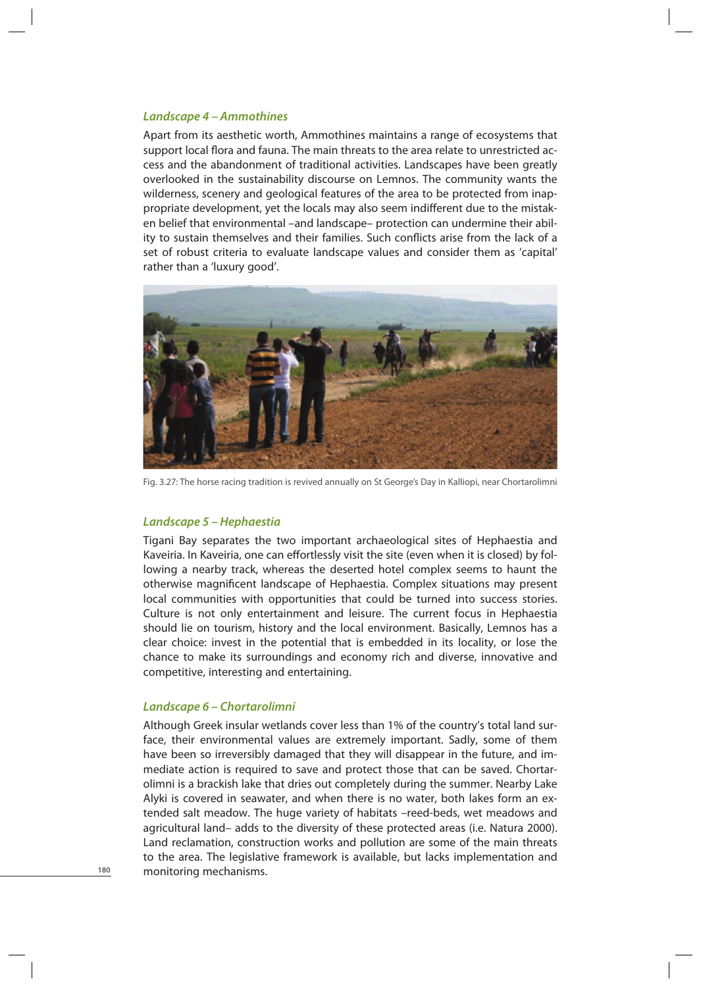#### *Landscape 4 – Ammothines*

Apart from its aesthetic worth, Ammothines maintains a range of ecosystems that support local flora and fauna. The main threats to the area relate to unrestricted access and the abandonment of traditional activities. Landscapes have been greatly overlooked in the sustainability discourse on Lemnos. The community wants the wilderness, scenery and geological features of the area to be protected from inappropriate development, yet the locals may also seem indifferent due to the mistaken belief that environmental –and landscape– protection can undermine their ability to sustain themselves and their families. Such conflicts arise from the lack of a set of robust criteria to evaluate landscape values and consider them as 'capital' rather than a 'luxury good'.



Fig. 3.27: The horse racing tradition is revived annually on St George's Day in Kalliopi, near Chortarolimni

## *Landscape 5 – Hephaestia*

Tigani Bay separates the two important archaeological sites of Hephaestia and Kaveiria. In Kaveiria, one can effortlessly visit the site (even when it is closed) by following a nearby track, whereas the deserted hotel complex seems to haunt the otherwise magnificent landscape of Hephaestia. Complex situations may present local communities with opportunities that could be turned into success stories. Culture is not only entertainment and leisure. The current focus in Hephaestia should lie on tourism, history and the local environment. Basically, Lemnos has a clear choice: invest in the potential that is embedded in its locality, or lose the chance to make its surroundings and economy rich and diverse, innovative and competitive, interesting and entertaining.

#### *Landscape 6 – Chortarolimni*

Although Greek insular wetlands cover less than 1% of the country's total land surface, their environmental values are extremely important. Sadly, some of them have been so irreversibly damaged that they will disappear in the future, and immediate action is required to save and protect those that can be saved. Chortarolimni is a brackish lake that dries out completely during the summer. Nearby Lake Alyki is covered in seawater, and when there is no water, both lakes form an extended salt meadow. The huge variety of habitats –reed-beds, wet meadows and agricultural land– adds to the diversity of these protected areas (i.e. Natura 2000). Land reclamation, construction works and pollution are some of the main threats to the area. The legislative framework is available, but lacks implementation and monitoring mechanisms.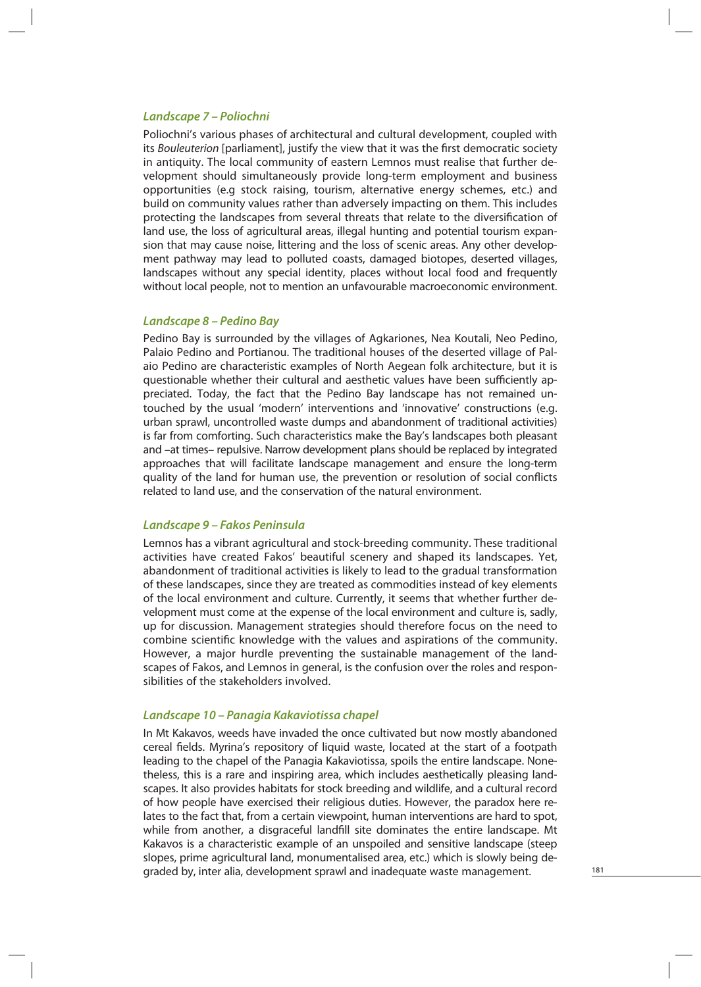#### *Landscape 7 – Poliochni*

Poliochni's various phases of architectural and cultural development, coupled with its Bouleuterion [parliament], justify the view that it was the first democratic society in antiquity. The local community of eastern Lemnos must realise that further development should simultaneously provide long-term employment and business opportunities (e.g stock raising, tourism, alternative energy schemes, etc.) and build on community values rather than adversely impacting on them. This includes protecting the landscapes from several threats that relate to the diversification of land use, the loss of agricultural areas, illegal hunting and potential tourism expansion that may cause noise, littering and the loss of scenic areas. Any other development pathway may lead to polluted coasts, damaged biotopes, deserted villages, landscapes without any special identity, places without local food and frequently without local people, not to mention an unfavourable macroeconomic environment.

#### *Landscape 8 – Pedino Bay*

Pedino Bay is surrounded by the villages of Agkariones, Nea Koutali, Neo Pedino, Palaio Pedino and Portianou. The traditional houses of the deserted village of Palaio Pedino are characteristic examples of North Aegean folk architecture, but it is questionable whether their cultural and aesthetic values have been sufficiently appreciated. Today, the fact that the Pedino Bay landscape has not remained untouched by the usual 'modern' interventions and 'innovative' constructions (e.g. urban sprawl, uncontrolled waste dumps and abandonment of traditional activities) is far from comforting. Such characteristics make the Bay's landscapes both pleasant and –at times– repulsive. Narrow development plans should be replaced by integrated approaches that will facilitate landscape management and ensure the long-term quality of the land for human use, the prevention or resolution of social conflicts related to land use, and the conservation of the natural environment.

# *Landscape 9 – Fakos Peninsula*

Lemnos has a vibrant agricultural and stock-breeding community. These traditional activities have created Fakos' beautiful scenery and shaped its landscapes. Yet, abandonment of traditional activities is likely to lead to the gradual transformation of these landscapes, since they are treated as commodities instead of key elements of the local environment and culture. Currently, it seems that whether further development must come at the expense of the local environment and culture is, sadly, up for discussion. Management strategies should therefore focus on the need to combine scientific knowledge with the values and aspirations of the community. However, a major hurdle preventing the sustainable management of the landscapes of Fakos, and Lemnos in general, is the confusion over the roles and responsibilities of the stakeholders involved.

#### *Landscape 10 – Panagia Kakaviotissa chapel*

In Mt Kakavos, weeds have invaded the once cultivated but now mostly abandoned cereal fields. Myrina's repository of liquid waste, located at the start of a footpath leading to the chapel of the Panagia Kakaviotissa, spoils the entire landscape. Nonetheless, this is a rare and inspiring area, which includes aesthetically pleasing landscapes. It also provides habitats for stock breeding and wildlife, and a cultural record of how people have exercised their religious duties. However, the paradox here relates to the fact that, from a certain viewpoint, human interventions are hard to spot, while from another, a disgraceful landfill site dominates the entire landscape. Mt Kakavos is a characteristic example of an unspoiled and sensitive landscape (steep slopes, prime agricultural land, monumentalised area, etc.) which is slowly being degraded by, inter alia, development sprawl and inadequate waste management.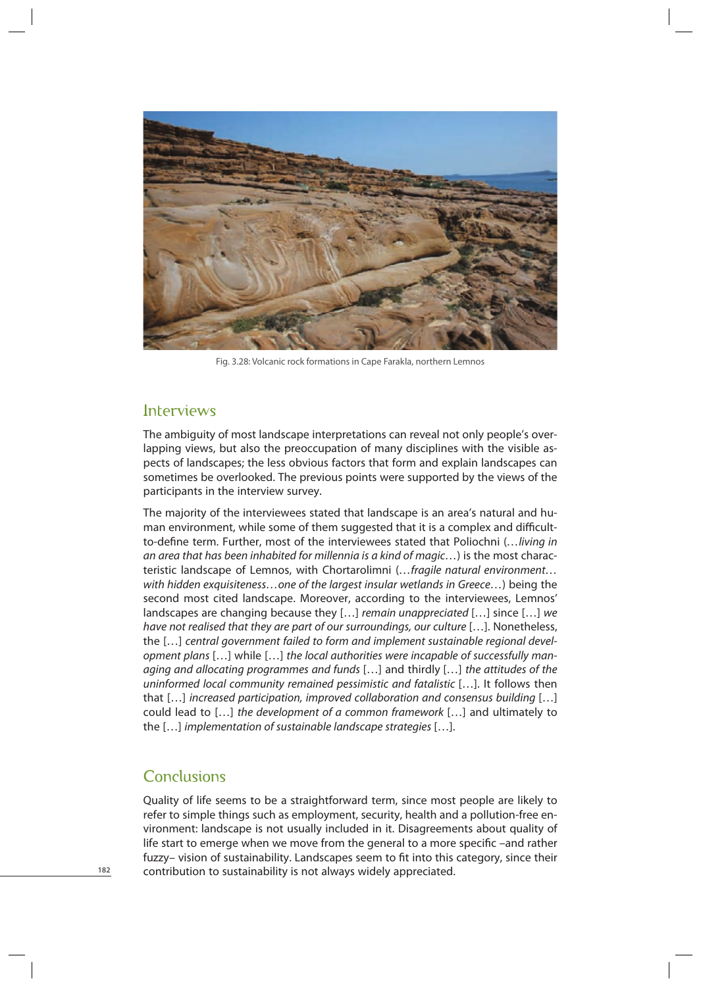

Fig. 3.28: Volcanic rock formations in Cape Farakla, northern Lemnos

# Interviews

The ambiguity of most landscape interpretations can reveal not only people's overlapping views, but also the preoccupation of many disciplines with the visible aspects of landscapes; the less obvious factors that form and explain landscapes can sometimes be overlooked. The previous points were supported by the views of the participants in the interview survey.

The majority of the interviewees stated that landscape is an area's natural and human environment, while some of them suggested that it is a complex and difficultto-define term. Further, most of the interviewees stated that Poliochni (... living in an area that has been inhabited for millennia is a kind of magic…) is the most characteristic landscape of Lemnos, with Chortarolimni (...fragile natural environment... with hidden exquisiteness…one of the largest insular wetlands in Greece…) being the second most cited landscape. Moreover, according to the interviewees, Lemnos' landscapes are changing because they  $[...]$  remain unappreciated  $[...]$  since  $[...]$  we have not realised that they are part of our surroundings, our culture […]. Nonetheless, the […] central government failed to form and implement sustainable regional development plans […] while […] the local authorities were incapable of successfully managing and allocating programmes and funds […] and thirdly […] the attitudes of the uninformed local community remained pessimistic and fatalistic […]. It follows then that […] increased participation, improved collaboration and consensus building […] could lead to […] the development of a common framework […] and ultimately to the […] implementation of sustainable landscape strategies […].

# **Conclusions**

Quality of life seems to be a straightforward term, since most people are likely to refer to simple things such as employment, security, health and a pollution-free environment: landscape is not usually included in it. Disagreements about quality of life start to emerge when we move from the general to a more specific –and rather fuzzy- vision of sustainability. Landscapes seem to fit into this category, since their contribution to sustainability is not always widely appreciated.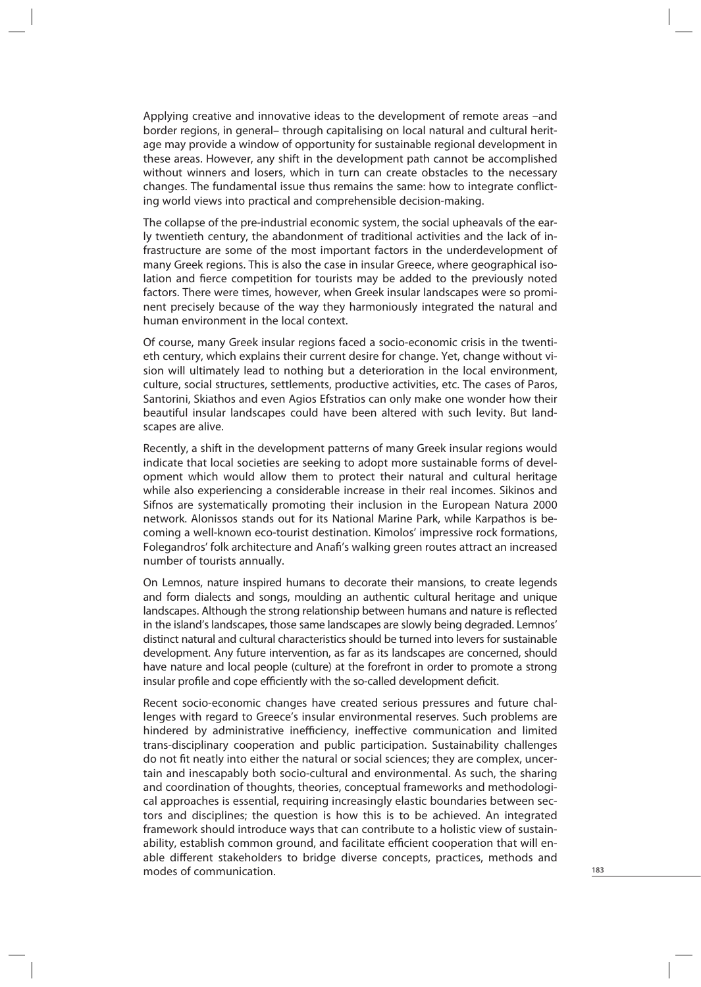Applying creative and innovative ideas to the development of remote areas –and border regions, in general– through capitalising on local natural and cultural heritage may provide a window of opportunity for sustainable regional development in these areas. However, any shift in the development path cannot be accomplished without winners and losers, which in turn can create obstacles to the necessary changes. The fundamental issue thus remains the same: how to integrate conflicting world views into practical and comprehensible decision-making.

The collapse of the pre-industrial economic system, the social upheavals of the early twentieth century, the abandonment of traditional activities and the lack of infrastructure are some of the most important factors in the underdevelopment of many Greek regions. This is also the case in insular Greece, where geographical isolation and fierce competition for tourists may be added to the previously noted factors. There were times, however, when Greek insular landscapes were so prominent precisely because of the way they harmoniously integrated the natural and human environment in the local context.

Of course, many Greek insular regions faced a socio-economic crisis in the twentieth century, which explains their current desire for change. Yet, change without vision will ultimately lead to nothing but a deterioration in the local environment, culture, social structures, settlements, productive activities, etc. The cases of Paros, Santorini, Skiathos and even Agios Efstratios can only make one wonder how their beautiful insular landscapes could have been altered with such levity. But landscapes are alive.

Recently, a shift in the development patterns of many Greek insular regions would indicate that local societies are seeking to adopt more sustainable forms of development which would allow them to protect their natural and cultural heritage while also experiencing a considerable increase in their real incomes. Sikinos and Sifnos are systematically promoting their inclusion in the European Natura 2000 network. Alonissos stands out for its National Marine Park, while Karpathos is becoming a well-known eco-tourist destination. Kimolos' impressive rock formations, Folegandros' folk architecture and Anafi 's walking green routes attract an increased number of tourists annually.

On Lemnos, nature inspired humans to decorate their mansions, to create legends and form dialects and songs, moulding an authentic cultural heritage and unique landscapes. Although the strong relationship between humans and nature is reflected in the island's landscapes, those same landscapes are slowly being degraded. Lemnos' distinct natural and cultural characteristics should be turned into levers for sustainable development. Any future intervention, as far as its landscapes are concerned, should have nature and local people (culture) at the forefront in order to promote a strong insular profile and cope efficiently with the so-called development deficit.

Recent socio-economic changes have created serious pressures and future challenges with regard to Greece's insular environmental reserves. Such problems are hindered by administrative inefficiency, ineffective communication and limited trans-disciplinary cooperation and public participation. Sustainability challenges do not fit neatly into either the natural or social sciences; they are complex, uncertain and inescapably both socio-cultural and environmental. As such, the sharing and coordination of thoughts, theories, conceptual frameworks and methodological approaches is essential, requiring increasingly elastic boundaries between sectors and disciplines; the question is how this is to be achieved. An integrated framework should introduce ways that can contribute to a holistic view of sustainability, establish common ground, and facilitate efficient cooperation that will enable different stakeholders to bridge diverse concepts, practices, methods and modes of communication.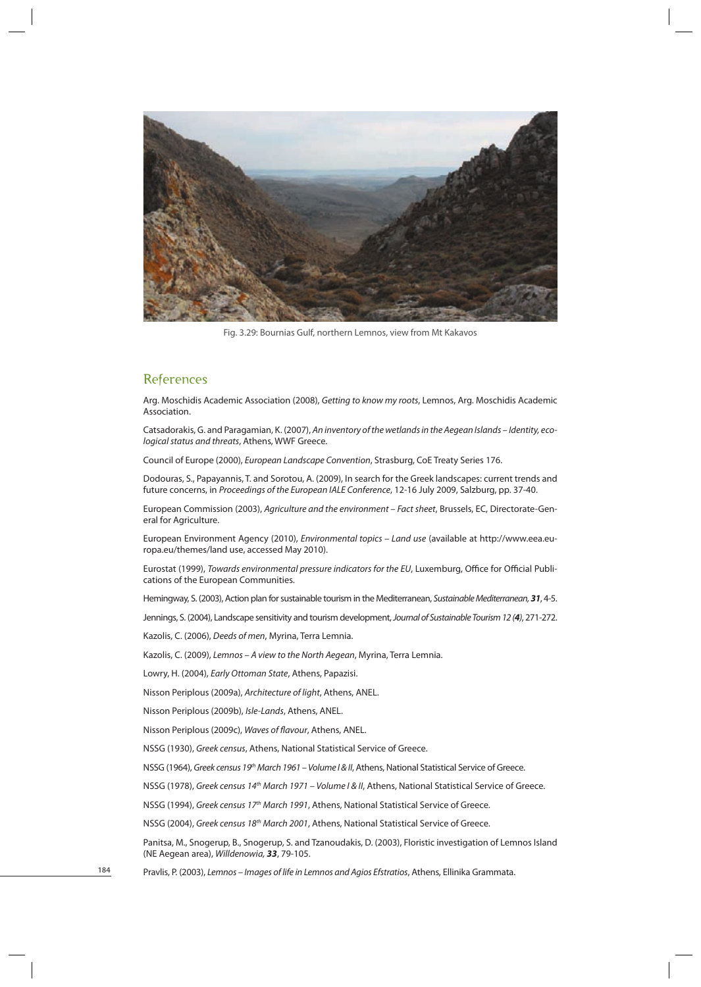

Fig. 3.29: Bournias Gulf, northern Lemnos, view from Mt Kakavos

## **References**

Arg. Moschidis Academic Association (2008), Getting to know my roots, Lemnos, Arg. Moschidis Academic Association.

Catsadorakis, G. and Paragamian, K. (2007), An inventory of the wetlands in the Aegean Islands – Identity, ecological status and threats, Athens, WWF Greece.

Council of Europe (2000), European Landscape Convention, Strasburg, CoE Treaty Series 176.

Dodouras, S., Papayannis, T. and Sorotou, A. (2009), In search for the Greek landscapes: current trends and future concerns, in Proceedings of the European IALE Conference, 12-16 July 2009, Salzburg, pp. 37-40.

European Commission (2003), Agriculture and the environment – Fact sheet, Brussels, EC, Directorate-General for Agriculture.

European Environment Agency (2010), Environmental topics – Land use (available at http://www.eea.europa.eu/themes/land use, accessed May 2010).

Eurostat (1999), Towards environmental pressure indicators for the EU, Luxemburg, Office for Official Publications of the European Communities.

Hemingway, S. (2003), Action plan for sustainable tourism in the Mediterranean, Sustainable Mediterranean, *31*, 4-5.

Jennings, S. (2004), Landscape sensitivity and tourism development, Journal of Sustainable Tourism 12 (*4*), 271-272.

Kazolis, C. (2006), Deeds of men, Myrina, Terra Lemnia.

Kazolis, C. (2009), Lemnos – A view to the North Aegean, Myrina, Terra Lemnia.

Lowry, H. (2004), Early Ottoman State, Athens, Papazisi.

Nisson Periplous (2009a), Architecture of light, Athens, ANEL.

Nisson Periplous (2009b), Isle-Lands, Athens, ANEL.

Nisson Periplous (2009c), Waves of flavour, Athens, ANEL.

NSSG (1930), Greek census, Athens, National Statistical Service of Greece.

NSSG (1964), Greek census 19<sup>th</sup> March 1961 – Volume Ι& ΙΙ, Athens, National Statistical Service of Greece.

NSSG (1978), Greek census 14<sup>th</sup> March 1971 – Volume Ι & ΙΙ, Athens, National Statistical Service of Greece.

NSSG (1994), Greek census 17<sup>th</sup> March 1991, Athens, National Statistical Service of Greece.

NSSG (2004), Greek census 18<sup>th</sup> March 2001, Athens, National Statistical Service of Greece.

Panitsa, M., Snogerup, B., Snogerup, S. and Tzanoudakis, D. (2003), Floristic investigation of Lemnos Island (NE Aegean area), Willdenowia, *33*, 79-105.

Pravlis, P. (2003), Lemnos – Images of life in Lemnos and Agios Efstratios, Athens, Ellinika Grammata.